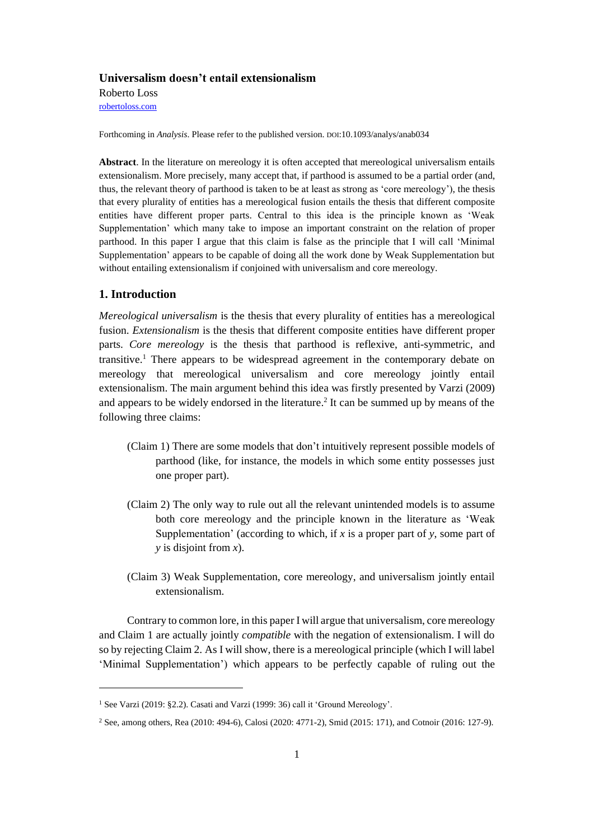# **Universalism doesn't entail extensionalism**

Roberto Loss [robertoloss.com](http://robertoloss.com/)

Forthcoming in *Analysis*. Please refer to the published version. DOI:10.1093/analys/anab034

**Abstract**. In the literature on mereology it is often accepted that mereological universalism entails extensionalism. More precisely, many accept that, if parthood is assumed to be a partial order (and, thus, the relevant theory of parthood is taken to be at least as strong as 'core mereology'), the thesis that every plurality of entities has a mereological fusion entails the thesis that different composite entities have different proper parts. Central to this idea is the principle known as 'Weak Supplementation' which many take to impose an important constraint on the relation of proper parthood. In this paper I argue that this claim is false as the principle that I will call 'Minimal Supplementation' appears to be capable of doing all the work done by Weak Supplementation but without entailing extensionalism if conjoined with universalism and core mereology.

# **1. Introduction**

*Mereological universalism* is the thesis that every plurality of entities has a mereological fusion. *Extensionalism* is the thesis that different composite entities have different proper parts. *Core mereology* is the thesis that parthood is reflexive, anti-symmetric, and transitive.<sup>1</sup> There appears to be widespread agreement in the contemporary debate on mereology that mereological universalism and core mereology jointly entail extensionalism. The main argument behind this idea was firstly presented by Varzi (2009) and appears to be widely endorsed in the literature.<sup>2</sup> It can be summed up by means of the following three claims:

- (Claim 1) There are some models that don't intuitively represent possible models of parthood (like, for instance, the models in which some entity possesses just one proper part).
- (Claim 2) The only way to rule out all the relevant unintended models is to assume both core mereology and the principle known in the literature as 'Weak Supplementation' (according to which, if *x* is a proper part of *y*, some part of *y* is disjoint from *x*).
- (Claim 3) Weak Supplementation, core mereology, and universalism jointly entail extensionalism.

Contrary to common lore, in this paper I will argue that universalism, core mereology and Claim 1 are actually jointly *compatible* with the negation of extensionalism. I will do so by rejecting Claim 2. As I will show, there is a mereological principle (which I will label 'Minimal Supplementation') which appears to be perfectly capable of ruling out the

<sup>&</sup>lt;sup>1</sup> See Varzi (2019: §2.2). Casati and Varzi (1999: 36) call it 'Ground Mereology'.

<sup>2</sup> See, among others, Rea (2010: 494-6), Calosi (2020: 4771-2), Smid (2015: 171), and Cotnoir (2016: 127-9).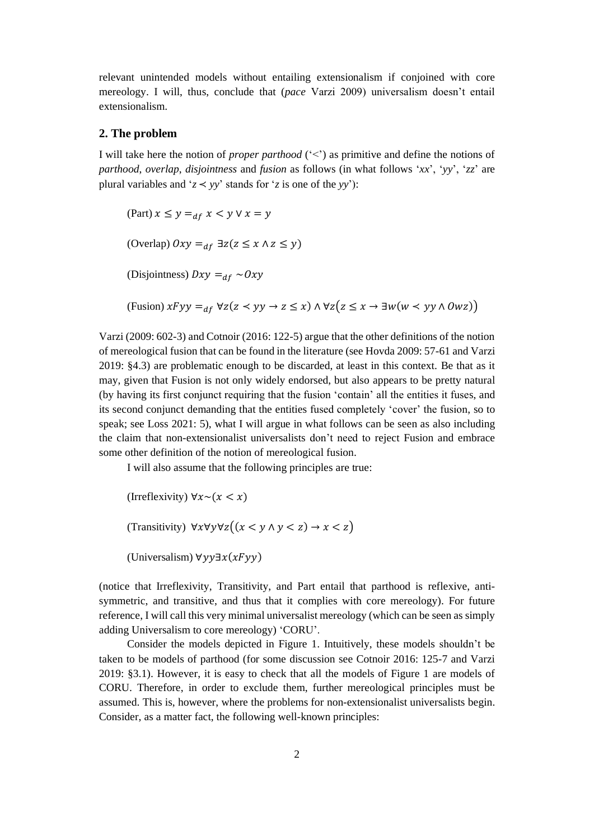relevant unintended models without entailing extensionalism if conjoined with core mereology. I will, thus, conclude that (*pace* Varzi 2009) universalism doesn't entail extensionalism.

## **2. The problem**

I will take here the notion of *proper parthood* ('<') as primitive and define the notions of *parthood*, *overlap*, *disjointness* and *fusion* as follows (in what follows '*xx*', '*yy*', '*zz*' are plural variables and ' $z \leq vy$ ' stands for '*z* is one of the *yy*'):

(Part)  $x \leq y =_{df} x < y \vee x = y$ (Overlap)  $0xy =_{df} \exists z(z \le x \land z \le y)$ (Disjointness)  $Dxy =_{df} \sim Oxy$  $(Fusion)$   $xFyy =_{df} \forall z(z \leq yy \rightarrow z \leq x) \land \forall z(z \leq x \rightarrow \exists w(w \leq yy \land \textit{O}wz))$ 

Varzi (2009: 602-3) and Cotnoir (2016: 122-5) argue that the other definitions of the notion of mereological fusion that can be found in the literature (see Hovda 2009: 57-61 and Varzi 2019: §4.3) are problematic enough to be discarded, at least in this context. Be that as it may, given that Fusion is not only widely endorsed, but also appears to be pretty natural (by having its first conjunct requiring that the fusion 'contain' all the entities it fuses, and its second conjunct demanding that the entities fused completely 'cover' the fusion, so to speak; see Loss 2021: 5), what I will argue in what follows can be seen as also including the claim that non-extensionalist universalists don't need to reject Fusion and embrace some other definition of the notion of mereological fusion.

I will also assume that the following principles are true:

```
(Irreflexivity) \forall x \sim (x < x)(Transitivity) \forall x \forall y \forall z ((x \leq y \land y \leq z) \rightarrow x \leq z)(Universalism) \forall y \forall \exists x (xF \forall y)
```
(notice that Irreflexivity, Transitivity, and Part entail that parthood is reflexive, antisymmetric, and transitive, and thus that it complies with core mereology). For future reference, I will call this very minimal universalist mereology (which can be seen as simply adding Universalism to core mereology) 'CORU'.

Consider the models depicted in Figure 1. Intuitively, these models shouldn't be taken to be models of parthood (for some discussion see Cotnoir 2016: 125-7 and Varzi 2019: §3.1). However, it is easy to check that all the models of Figure 1 are models of CORU. Therefore, in order to exclude them, further mereological principles must be assumed. This is, however, where the problems for non-extensionalist universalists begin. Consider, as a matter fact, the following well-known principles: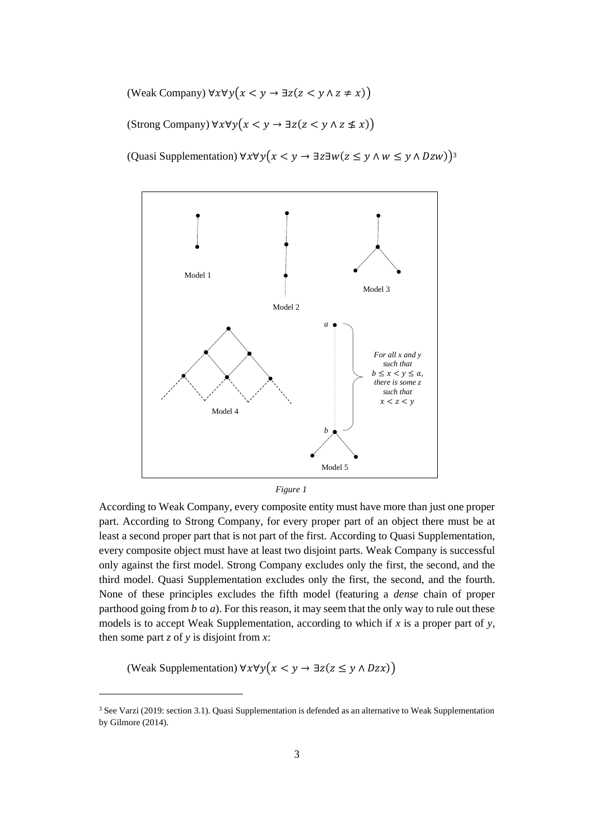(Weak Company)  $\forall x \forall y (x < y \rightarrow \exists z (z < y \land z \neq x))$ 

(Strong Company)  $\forall x \forall y (x \leq y \rightarrow \exists z (z \leq y \land z \leq x))$ 

(Quasi Supplementation)  $\forall x \forall y (x < y \rightarrow \exists z \exists w (z \leq y \land w \leq y \land Dzw))$ <sup>3</sup>





According to Weak Company, every composite entity must have more than just one proper part. According to Strong Company, for every proper part of an object there must be at least a second proper part that is not part of the first. According to Quasi Supplementation, every composite object must have at least two disjoint parts. Weak Company is successful only against the first model. Strong Company excludes only the first, the second, and the third model. Quasi Supplementation excludes only the first, the second, and the fourth. None of these principles excludes the fifth model (featuring a *dense* chain of proper parthood going from  $b$  to  $a$ ). For this reason, it may seem that the only way to rule out these models is to accept Weak Supplementation, according to which if *x* is a proper part of *y*, then some part *z* of *y* is disjoint from *x*:

(Weak Supplementation)  $\forall x \forall y (x < y \rightarrow \exists z (z \le y \land Dzx))$ 

<sup>3</sup> See Varzi (2019: section 3.1). Quasi Supplementation is defended as an alternative to Weak Supplementation by Gilmore (2014).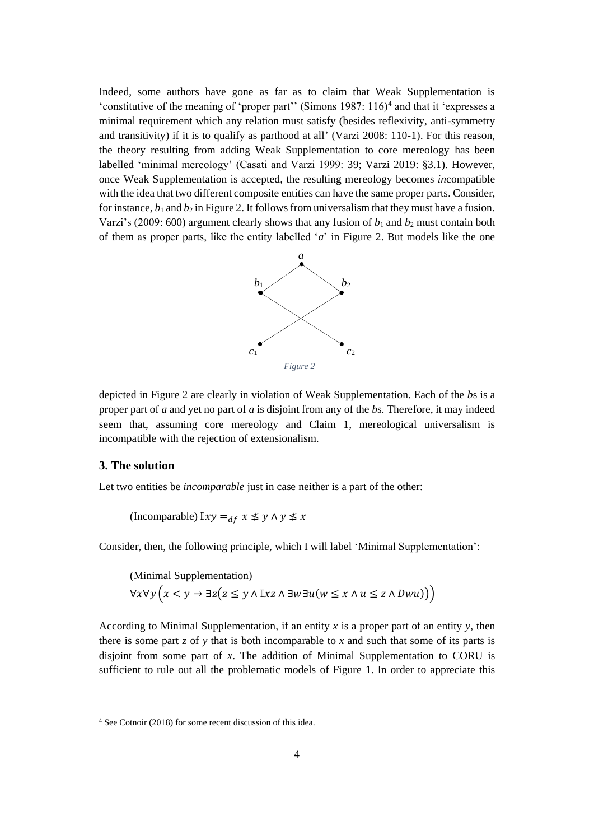Indeed, some authors have gone as far as to claim that Weak Supplementation is 'constitutive of the meaning of 'proper part'' (Simons  $1987: 116$ )<sup>4</sup> and that it 'expresses a minimal requirement which any relation must satisfy (besides reflexivity, anti-symmetry and transitivity) if it is to qualify as parthood at all' (Varzi 2008: 110-1). For this reason, the theory resulting from adding Weak Supplementation to core mereology has been labelled 'minimal mereology' (Casati and Varzi 1999: 39; Varzi 2019: §3.1). However, once Weak Supplementation is accepted, the resulting mereology becomes *in*compatible with the idea that two different composite entities can have the same proper parts. Consider, for instance,  $b_1$  and  $b_2$  in Figure 2. It follows from universalism that they must have a fusion. Varzi's (2009: 600) argument clearly shows that any fusion of  $b_1$  and  $b_2$  must contain both of them as proper parts, like the entity labelled '*a*' in Figure 2. But models like the one



depicted in Figure 2 are clearly in violation of Weak Supplementation. Each of the *b*s is a proper part of *a* and yet no part of *a* is disjoint from any of the *b*s. Therefore, it may indeed seem that, assuming core mereology and Claim 1, mereological universalism is incompatible with the rejection of extensionalism.

# **3. The solution**

Let two entities be *incomparable* just in case neither is a part of the other:

(Incomparable)  $\mathbb{I}xy =_{df} x \leq y \wedge y \leq x$ 

Consider, then, the following principle, which I will label 'Minimal Supplementation':

(Minimal Supplementation)  $\forall x \forall y \left(x < y \rightarrow \exists z (z \leq y \land \mathbb{I} x z \land \exists w \exists u (w \leq x \land u \leq z \land Dwu))\right)$ 

According to Minimal Supplementation, if an entity *x* is a proper part of an entity *y*, then there is some part *z* of *y* that is both incomparable to *x* and such that some of its parts is disjoint from some part of *x*. The addition of Minimal Supplementation to CORU is sufficient to rule out all the problematic models of Figure 1. In order to appreciate this

<sup>4</sup> See Cotnoir (2018) for some recent discussion of this idea.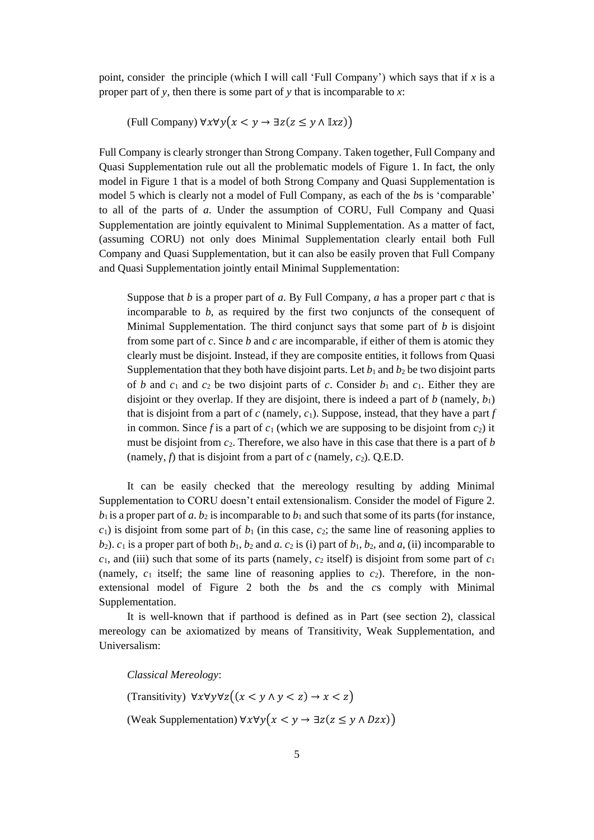point, consider the principle (which I will call 'Full Company') which says that if *x* is a proper part of *y*, then there is some part of *y* that is incomparable to *x*:

(Full Company)  $\forall x \forall y (x \leq y \rightarrow \exists z (z \leq y \land \mathbb{I} x z))$ 

Full Company is clearly stronger than Strong Company. Taken together, Full Company and Quasi Supplementation rule out all the problematic models of Figure 1. In fact, the only model in Figure 1 that is a model of both Strong Company and Quasi Supplementation is model 5 which is clearly not a model of Full Company, as each of the *b*s is 'comparable' to all of the parts of *a*. Under the assumption of CORU, Full Company and Quasi Supplementation are jointly equivalent to Minimal Supplementation. As a matter of fact, (assuming CORU) not only does Minimal Supplementation clearly entail both Full Company and Quasi Supplementation, but it can also be easily proven that Full Company and Quasi Supplementation jointly entail Minimal Supplementation:

Suppose that *b* is a proper part of *a*. By Full Company, *a* has a proper part *c* that is incomparable to *b*, as required by the first two conjuncts of the consequent of Minimal Supplementation. The third conjunct says that some part of *b* is disjoint from some part of *c*. Since *b* and *c* are incomparable, if either of them is atomic they clearly must be disjoint. Instead, if they are composite entities, it follows from Quasi Supplementation that they both have disjoint parts. Let  $b_1$  and  $b_2$  be two disjoint parts of *b* and  $c_1$  and  $c_2$  be two disjoint parts of *c*. Consider  $b_1$  and  $c_1$ . Either they are disjoint or they overlap. If they are disjoint, there is indeed a part of *b* (namely,  $b_1$ ) that is disjoint from a part of *c* (namely,  $c_1$ ). Suppose, instead, that they have a part *f* in common. Since f is a part of  $c_1$  (which we are supposing to be disjoint from  $c_2$ ) it must be disjoint from *c*2. Therefore, we also have in this case that there is a part of *b* (namely,  $f$ ) that is disjoint from a part of  $c$  (namely,  $c_2$ ). O.E.D.

It can be easily checked that the mereology resulting by adding Minimal Supplementation to CORU doesn't entail extensionalism. Consider the model of Figure 2.  $b_1$  is a proper part of *a*.  $b_2$  is incomparable to  $b_1$  and such that some of its parts (for instance,  $c_1$ ) is disjoint from some part of  $b_1$  (in this case,  $c_2$ ; the same line of reasoning applies to *b*<sub>2</sub>). *c*<sub>1</sub> is a proper part of both *b*<sub>1</sub>, *b*<sub>2</sub> and *a*. *c*<sub>2</sub> is (i) part of *b*<sub>1</sub>, *b*<sub>2</sub>, and *a*, (ii) incomparable to  $c_1$ , and (iii) such that some of its parts (namely,  $c_2$  itself) is disjoint from some part of  $c_1$ (namely,  $c_1$  itself; the same line of reasoning applies to  $c_2$ ). Therefore, in the nonextensional model of Figure 2 both the *b*s and the *c*s comply with Minimal Supplementation.

It is well-known that if parthood is defined as in Part (see section 2), classical mereology can be axiomatized by means of Transitivity, Weak Supplementation, and Universalism:

*Classical Mereology*:

(Transitivity)  $\forall x \forall y \forall z ((x \leq y \land y \leq z) \rightarrow x \leq z)$ 

(Weak Supplementation)  $\forall x \forall y (x \leq y \rightarrow \exists z (z \leq y \land Dzx))$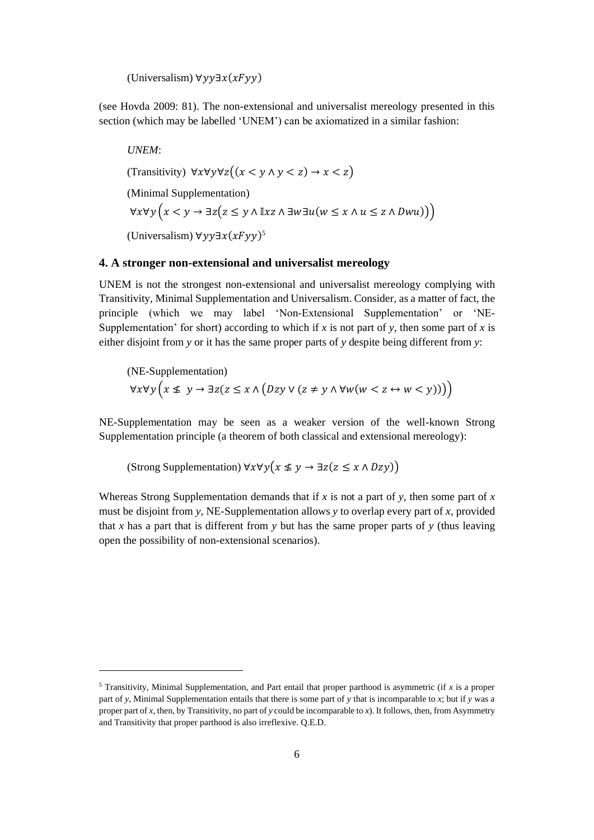(Universalism)  $\forall y \exists x (xFyy)$ 

(see Hovda 2009: 81). The non-extensional and universalist mereology presented in this section (which may be labelled 'UNEM') can be axiomatized in a similar fashion:

*UNEM*: (Transitivity)  $\forall x \forall y \forall z ((x \leq y \land y \leq z) \rightarrow x \leq z)$ (Minimal Supplementation)  $\forall x \forall y \big(x \leq y \rightarrow \exists z \big(z \leq y \land \mathbb{I} x z \land \exists w \exists u (w \leq x \land u \leq z \land Dwu)\big)\big)$ (Universalism) ∀yy∃ $x(xFyy)^5$ 

## **4. A stronger non-extensional and universalist mereology**

UNEM is not the strongest non-extensional and universalist mereology complying with Transitivity, Minimal Supplementation and Universalism. Consider, as a matter of fact, the principle (which we may label 'Non-Extensional Supplementation' or 'NE-Supplementation' for short) according to which if  $x$  is not part of  $y$ , then some part of  $x$  is either disjoint from *y* or it has the same proper parts of *y* despite being different from *y*:

(NE-Supplementation)  $\forall x \forall y \left(x \not\leq y \rightarrow \exists z (z \leq x \land (Dzy \lor (z \neq y \land \forall w (w < z \leftrightarrow w < y)))\right)$ 

NE-Supplementation may be seen as a weaker version of the well-known Strong Supplementation principle (a theorem of both classical and extensional mereology):

(Strong Supplementation)  $\forall x \forall y (x \leq y \rightarrow \exists z (z \leq x \land Dzy))$ 

Whereas Strong Supplementation demands that if  $x$  is not a part of  $y$ , then some part of  $x$ must be disjoint from *y*, NE-Supplementation allows *y* to overlap every part of *x*, provided that *x* has a part that is different from *y* but has the same proper parts of *y* (thus leaving open the possibility of non-extensional scenarios).

<sup>5</sup> Transitivity, Minimal Supplementation, and Part entail that proper parthood is asymmetric (if *x* is a proper part of *y*, Minimal Supplementation entails that there is some part of *y* that is incomparable to *x*; but if *y* was a proper part of *x*, then, by Transitivity, no part of *y* could be incomparable to *x*). It follows, then, from Asymmetry and Transitivity that proper parthood is also irreflexive. Q.E.D.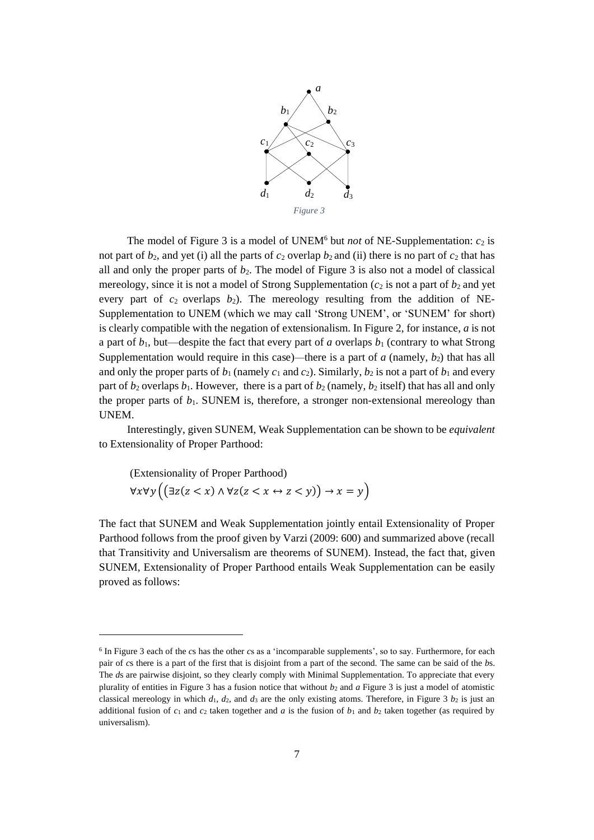

The model of Figure 3 is a model of UNEM<sup>6</sup> but *not* of NE-Supplementation:  $c_2$  is not part of  $b_2$ , and yet (i) all the parts of  $c_2$  overlap  $b_2$  and (ii) there is no part of  $c_2$  that has all and only the proper parts of  $b_2$ . The model of Figure 3 is also not a model of classical mereology, since it is not a model of Strong Supplementation  $(c_2$  is not a part of  $b_2$  and yet every part of  $c_2$  overlaps  $b_2$ ). The mereology resulting from the addition of NE-Supplementation to UNEM (which we may call 'Strong UNEM', or 'SUNEM' for short) is clearly compatible with the negation of extensionalism. In Figure 2, for instance,  $a$  is not a part of *b*1, but—despite the fact that every part of *a* overlaps *b*<sup>1</sup> (contrary to what Strong Supplementation would require in this case)—there is a part of  $a$  (namely,  $b_2$ ) that has all and only the proper parts of  $b_1$  (namely  $c_1$  and  $c_2$ ). Similarly,  $b_2$  is not a part of  $b_1$  and every part of  $b_2$  overlaps  $b_1$ . However, there is a part of  $b_2$  (namely,  $b_2$  itself) that has all and only the proper parts of  $b_1$ . SUNEM is, therefore, a stronger non-extensional mereology than UNEM.

Interestingly, given SUNEM, Weak Supplementation can be shown to be *equivalent* to Extensionality of Proper Parthood:

(Extensionality of Proper Parthood)  
\n
$$
\forall x \forall y \left( \left( \exists z (z < x) \land \forall z (z < x \leftrightarrow z < y) \right) \to x = y \right)
$$

The fact that SUNEM and Weak Supplementation jointly entail Extensionality of Proper Parthood follows from the proof given by Varzi (2009: 600) and summarized above (recall that Transitivity and Universalism are theorems of SUNEM). Instead, the fact that, given SUNEM, Extensionality of Proper Parthood entails Weak Supplementation can be easily proved as follows:

<sup>6</sup> In Figure 3 each of the *c*s has the other *c*s as a 'incomparable supplements', so to say. Furthermore, for each pair of *c*s there is a part of the first that is disjoint from a part of the second. The same can be said of the *b*s. The *d*s are pairwise disjoint, so they clearly comply with Minimal Supplementation. To appreciate that every plurality of entities in Figure 3 has a fusion notice that without *b*<sup>2</sup> and *a* Figure 3 is just a model of atomistic classical mereology in which  $d_1$ ,  $d_2$ , and  $d_3$  are the only existing atoms. Therefore, in Figure 3  $b_2$  is just an additional fusion of  $c_1$  and  $c_2$  taken together and *a* is the fusion of  $b_1$  and  $b_2$  taken together (as required by universalism).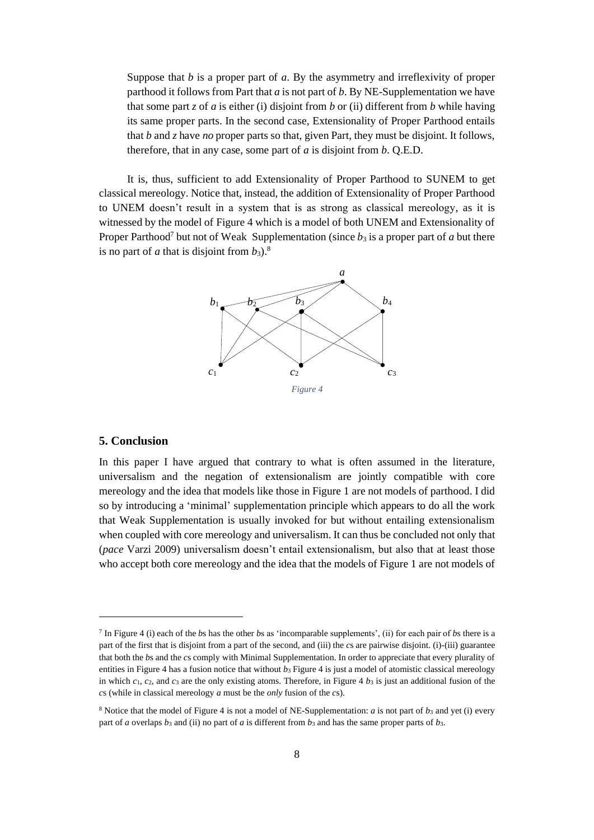Suppose that *b* is a proper part of *a*. By the asymmetry and irreflexivity of proper parthood it follows from Part that *a* is not part of *b*. By NE-Supplementation we have that some part *z* of *a* is either (i) disjoint from *b* or (ii) different from *b* while having its same proper parts. In the second case, Extensionality of Proper Parthood entails that *b* and *z* have *no* proper parts so that, given Part, they must be disjoint. It follows, therefore, that in any case, some part of *a* is disjoint from *b*. Q.E.D.

It is, thus, sufficient to add Extensionality of Proper Parthood to SUNEM to get classical mereology. Notice that, instead, the addition of Extensionality of Proper Parthood to UNEM doesn't result in a system that is as strong as classical mereology, as it is witnessed by the model of Figure 4 which is a model of both UNEM and Extensionality of Proper Parthood<sup>7</sup> but not of Weak Supplementation (since  $b_3$  is a proper part of *a* but there is no part of  $a$  that is disjoint from  $b_3$ .<sup>8</sup>



## **5. Conclusion**

In this paper I have argued that contrary to what is often assumed in the literature, universalism and the negation of extensionalism are jointly compatible with core mereology and the idea that models like those in Figure 1 are not models of parthood. I did so by introducing a 'minimal' supplementation principle which appears to do all the work that Weak Supplementation is usually invoked for but without entailing extensionalism when coupled with core mereology and universalism. It can thus be concluded not only that (*pace* Varzi 2009) universalism doesn't entail extensionalism, but also that at least those who accept both core mereology and the idea that the models of Figure 1 are not models of

<sup>7</sup> In Figure 4 (i) each of the *b*s has the other *b*s as 'incomparable supplements', (ii) for each pair of *b*s there is a part of the first that is disjoint from a part of the second, and (iii) the *c*s are pairwise disjoint. (i)-(iii) guarantee that both the *b*s and the *c*s comply with Minimal Supplementation. In order to appreciate that every plurality of entities in Figure 4 has a fusion notice that without  $b_3$  Figure 4 is just a model of atomistic classical mereology in which  $c_1$ ,  $c_2$ , and  $c_3$  are the only existing atoms. Therefore, in Figure 4  $b_3$  is just an additional fusion of the *c*s (while in classical mereology *a* must be the *only* fusion of the *c*s).

<sup>&</sup>lt;sup>8</sup> Notice that the model of Figure 4 is not a model of NE-Supplementation: *a* is not part of  $b_3$  and yet (i) every part of *a* overlaps *b*<sup>3</sup> and (ii) no part of *a* is different from *b*<sup>3</sup> and has the same proper parts of *b*3.